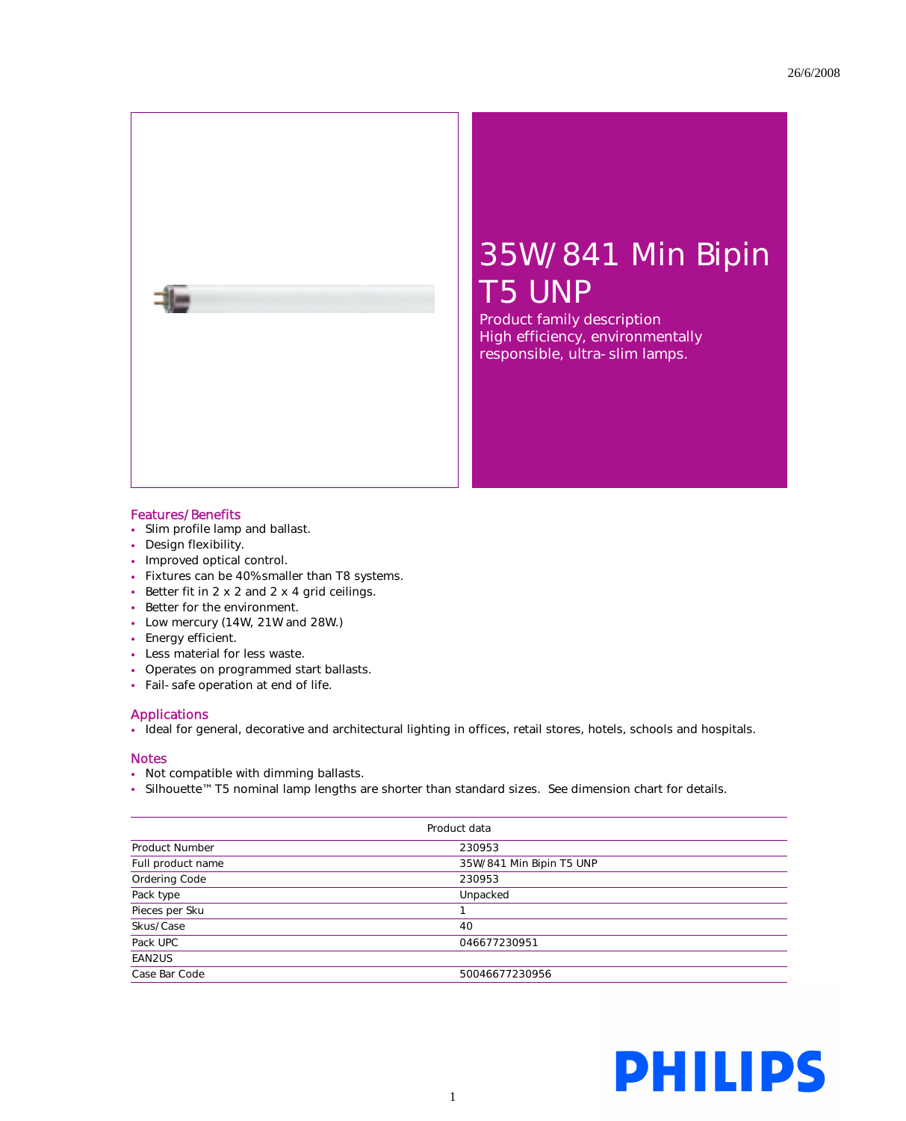

Product family description High efficiency, environmentally responsible, ultra-slim lamps.

## Features/Benefits

그는

- Slim profile lamp and ballast.
- Design flexibility.
- Improved optical control.
- Fixtures can be 40% smaller than T8 systems.
- Better fit in 2 x 2 and 2 x 4 grid ceilings.
- Better for the environment.
- Low mercury (14W, 21W and 28W.)
- Energy efficient.
- Less material for less waste.
- Operates on programmed start ballasts.
- Fail-safe operation at end of life.

## Applications

• Ideal for general, decorative and architectural lighting in offices, retail stores, hotels, schools and hospitals.

## **Notes**

- Not compatible with dimming ballasts.
- Silhouette™ T5 nominal lamp lengths are shorter than standard sizes. See dimension chart for details.

| Product data          |                          |  |  |  |  |
|-----------------------|--------------------------|--|--|--|--|
| <b>Product Number</b> | 230953                   |  |  |  |  |
| Full product name     | 35W/841 Min Bipin T5 UNP |  |  |  |  |
| Ordering Code         | 230953                   |  |  |  |  |
| Pack type             | Unpacked                 |  |  |  |  |
| Pieces per Sku        |                          |  |  |  |  |
| Skus/Case             | 40                       |  |  |  |  |
| Pack UPC              | 046677230951             |  |  |  |  |
| EAN2US                |                          |  |  |  |  |
| Case Bar Code         | 50046677230956           |  |  |  |  |

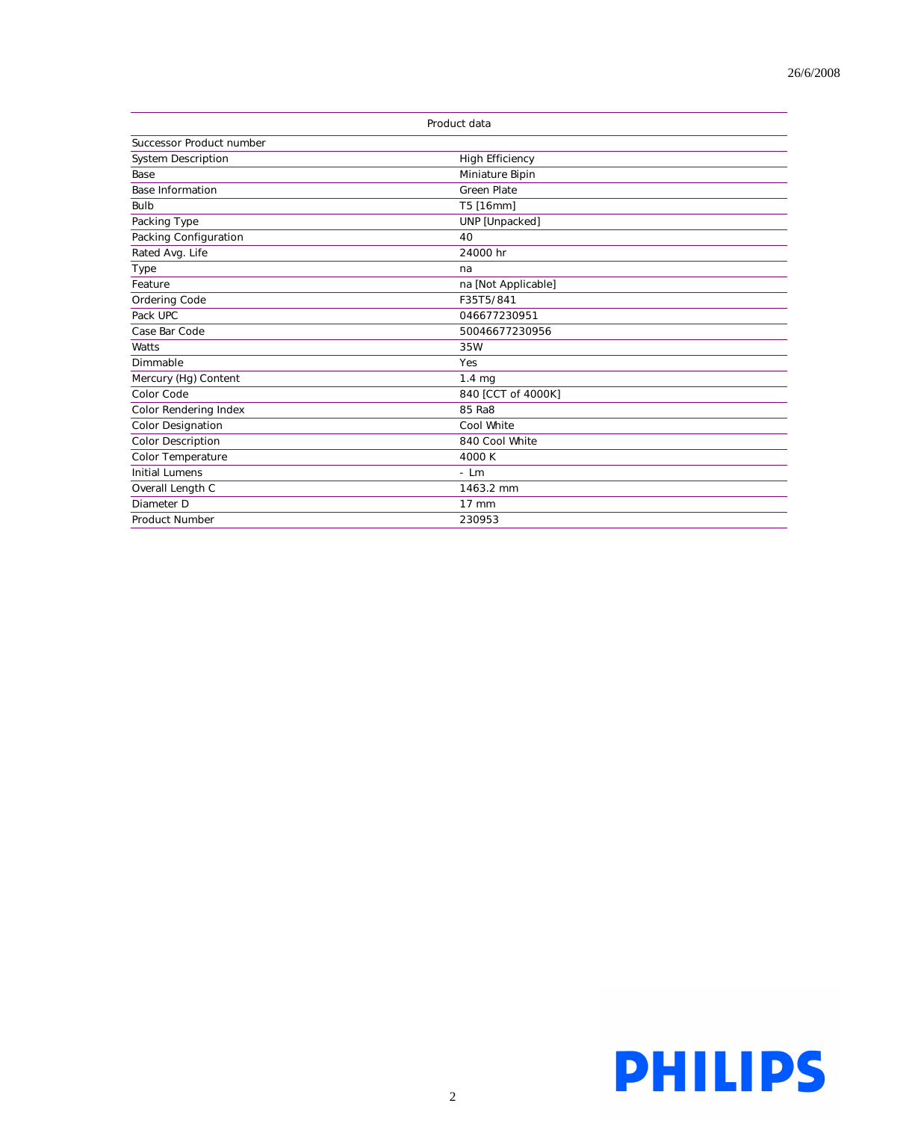| Product data              |                        |  |  |  |  |
|---------------------------|------------------------|--|--|--|--|
| Successor Product number  |                        |  |  |  |  |
| <b>System Description</b> | <b>High Efficiency</b> |  |  |  |  |
| Base                      | Miniature Bipin        |  |  |  |  |
| <b>Base Information</b>   | <b>Green Plate</b>     |  |  |  |  |
| Bulb                      | T5 [16mm]              |  |  |  |  |
| Packing Type              | UNP [Unpacked]         |  |  |  |  |
| Packing Configuration     | 40                     |  |  |  |  |
| Rated Avg. Life           | 24000 hr               |  |  |  |  |
| Type                      | na                     |  |  |  |  |
| Feature                   | na [Not Applicable]    |  |  |  |  |
| Ordering Code             | F35T5/841              |  |  |  |  |
| Pack UPC                  | 046677230951           |  |  |  |  |
| Case Bar Code             | 50046677230956         |  |  |  |  |
| Watts                     | 35W                    |  |  |  |  |
| Dimmable                  | <b>Yes</b>             |  |  |  |  |
| Mercury (Hg) Content      | $1.4 \text{ mg}$       |  |  |  |  |
| Color Code                | 840 [CCT of 4000K]     |  |  |  |  |
| Color Rendering Index     | 85 Ra8                 |  |  |  |  |
| <b>Color Designation</b>  | Cool White             |  |  |  |  |
| <b>Color Description</b>  | 840 Cool White         |  |  |  |  |
| <b>Color Temperature</b>  | 4000 K                 |  |  |  |  |
| <b>Initial Lumens</b>     | $-$ Lm                 |  |  |  |  |
| Overall Length C          | 1463.2 mm              |  |  |  |  |
| Diameter D                | $17 \text{ mm}$        |  |  |  |  |
| <b>Product Number</b>     | 230953                 |  |  |  |  |

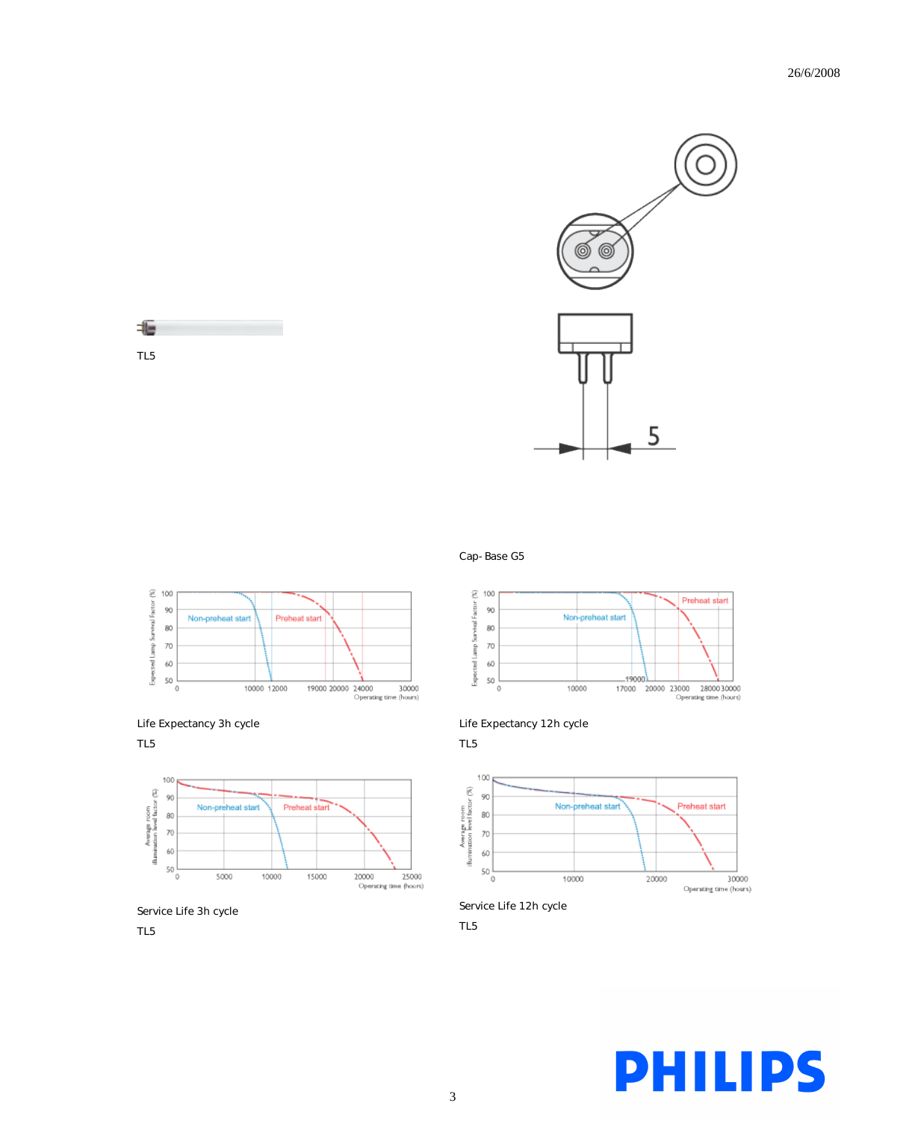

















Life Expectancy 12h cycle

TL5



Service Life 12h cycle

TL5

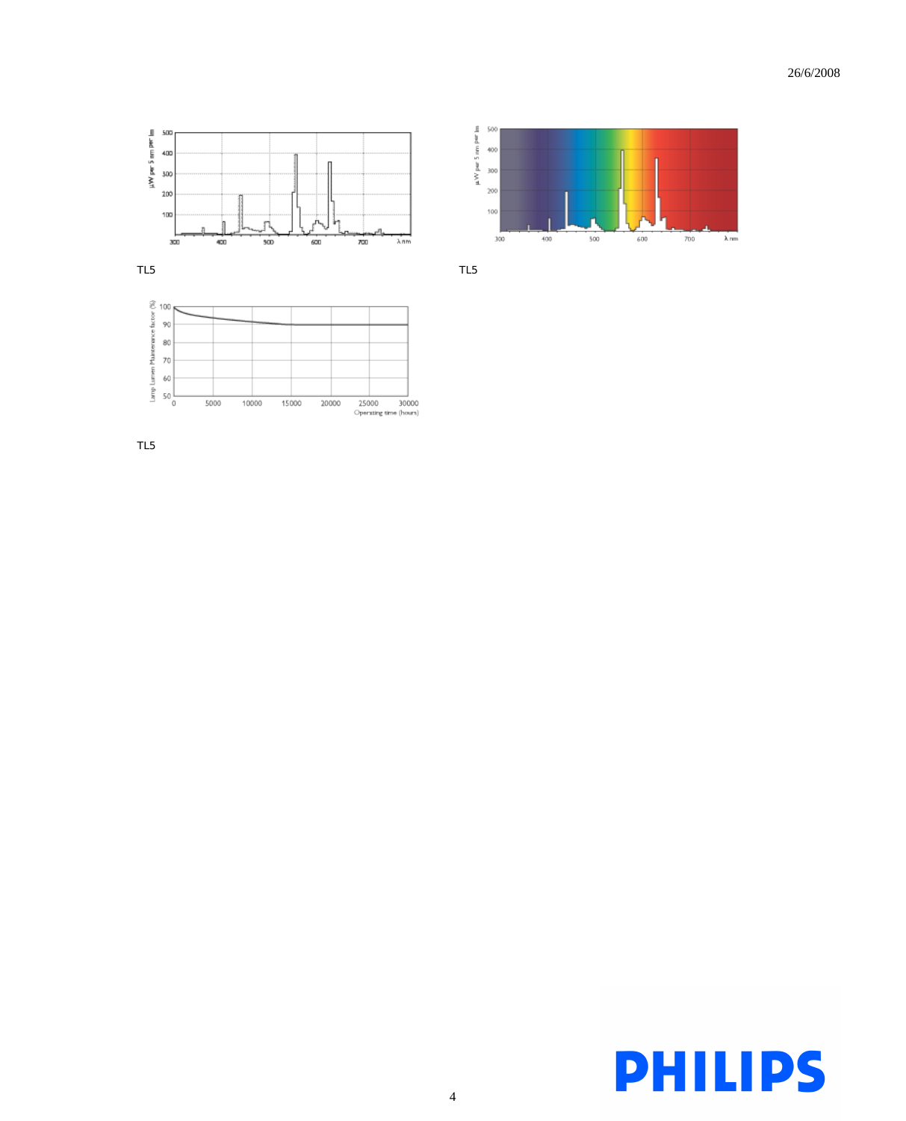

 $\begin{array}{ccc} & \mu\text{W per 5 mm per} \text{m} \\\text{20} & \text{30} & \text{30} & \text{30} \\\text{21} & \text{32} & \text{33} & \text{35} \\\text{22} & \text{34} & \text{35} & \text{36} \\\text{23} & \text{36} & \text{37} & \text{38} \\\text{25} & \text{38} & \text{39} & \text{39} \\\text{26} & \text{39} & \text{39} & \text{39} \\\text{27} & \text{39} & \text{39} & \text{39$ 

 $_{200}$ 100

 $300\,$ 

 $400$ 

500

 $\pm00$ 

 $700\,$ 

 $\lambda$ nm

TL5 TL5